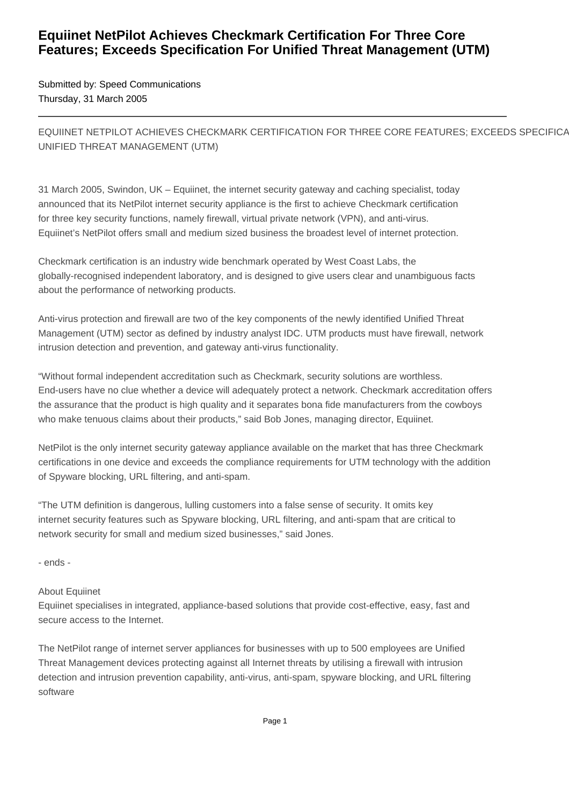## **Equiinet NetPilot Achieves Checkmark Certification For Three Core Features; Exceeds Specification For Unified Threat Management (UTM)**

Submitted by: Speed Communications Thursday, 31 March 2005

EQUIINET NETPILOT ACHIEVES CHECKMARK CERTIFICATION FOR THREE CORE FEATURES: EXCEEDS SPECIFICA UNIFIED THREAT MANAGEMENT (UTM)

31 March 2005, Swindon, UK – Equiinet, the internet security gateway and caching specialist, today announced that its NetPilot internet security appliance is the first to achieve Checkmark certification for three key security functions, namely firewall, virtual private network (VPN), and anti-virus. Equiinet's NetPilot offers small and medium sized business the broadest level of internet protection.

Checkmark certification is an industry wide benchmark operated by West Coast Labs, the globally-recognised independent laboratory, and is designed to give users clear and unambiguous facts about the performance of networking products.

Anti-virus protection and firewall are two of the key components of the newly identified Unified Threat Management (UTM) sector as defined by industry analyst IDC. UTM products must have firewall, network intrusion detection and prevention, and gateway anti-virus functionality.

"Without formal independent accreditation such as Checkmark, security solutions are worthless. End-users have no clue whether a device will adequately protect a network. Checkmark accreditation offers the assurance that the product is high quality and it separates bona fide manufacturers from the cowboys who make tenuous claims about their products," said Bob Jones, managing director, Equiinet.

NetPilot is the only internet security gateway appliance available on the market that has three Checkmark certifications in one device and exceeds the compliance requirements for UTM technology with the addition of Spyware blocking, URL filtering, and anti-spam.

"The UTM definition is dangerous, lulling customers into a false sense of security. It omits key internet security features such as Spyware blocking, URL filtering, and anti-spam that are critical to network security for small and medium sized businesses," said Jones.

- ends -

## About Equiinet

Equiinet specialises in integrated, appliance-based solutions that provide cost-effective, easy, fast and secure access to the Internet.

The NetPilot range of internet server appliances for businesses with up to 500 employees are Unified Threat Management devices protecting against all Internet threats by utilising a firewall with intrusion detection and intrusion prevention capability, anti-virus, anti-spam, spyware blocking, and URL filtering software